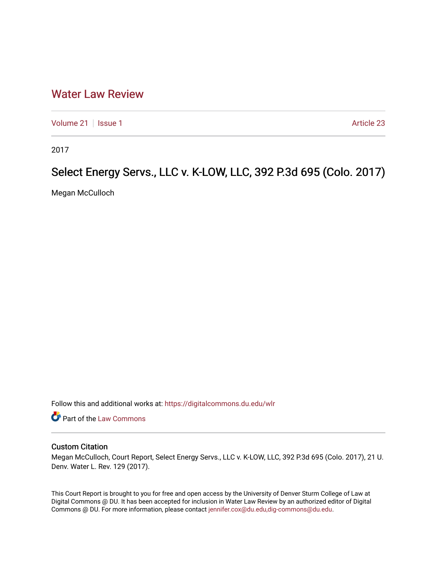## [Water Law Review](https://digitalcommons.du.edu/wlr)

[Volume 21](https://digitalcommons.du.edu/wlr/vol21) | [Issue 1](https://digitalcommons.du.edu/wlr/vol21/iss1) Article 23

2017

## Select Energy Servs., LLC v. K-LOW, LLC, 392 P.3d 695 (Colo. 2017)

Megan McCulloch

Follow this and additional works at: [https://digitalcommons.du.edu/wlr](https://digitalcommons.du.edu/wlr?utm_source=digitalcommons.du.edu%2Fwlr%2Fvol21%2Fiss1%2F23&utm_medium=PDF&utm_campaign=PDFCoverPages) 

Part of the [Law Commons](http://network.bepress.com/hgg/discipline/578?utm_source=digitalcommons.du.edu%2Fwlr%2Fvol21%2Fiss1%2F23&utm_medium=PDF&utm_campaign=PDFCoverPages)

## Custom Citation

Megan McCulloch, Court Report, Select Energy Servs., LLC v. K-LOW, LLC, 392 P.3d 695 (Colo. 2017), 21 U. Denv. Water L. Rev. 129 (2017).

This Court Report is brought to you for free and open access by the University of Denver Sturm College of Law at Digital Commons @ DU. It has been accepted for inclusion in Water Law Review by an authorized editor of Digital Commons @ DU. For more information, please contact [jennifer.cox@du.edu,dig-commons@du.edu.](mailto:jennifer.cox@du.edu,dig-commons@du.edu)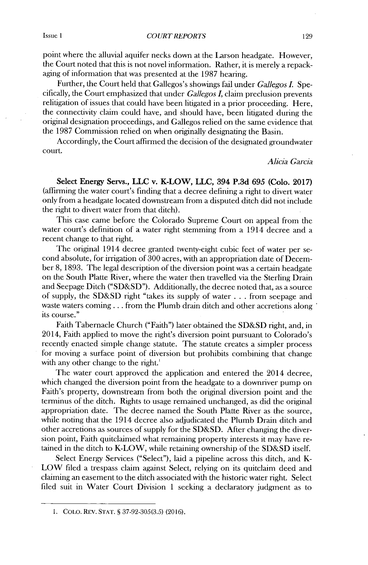Issue 1 *COURT REPORTS* 129

point where the alluvial aquifer necks down at the Larson headgate. However, the Court noted that this is not novel information. Rather, it is merely a repackaging of information that was presented at the **1987** hearing.

Further, the Court held that Gallegos's showings fail under *Gallegos I.* Specifically, the Court emphasized that under *Gallegos I,* claim preclusion prevents relitigation of issues that could have been litigated in a prior proceeding. Here, the connectivity claim could have, and should have, been litigated during the original designation proceedings, and Gallegos relied on the same evidence that the **1987** Commission relied on when originally designating the Basin.

Accordingly, the Court affirmed the decision of the designated groundwater court.

*Alicia Garcia*

**Select Energy Servs., LLC v. K-LOW, LLC, 394 P.3d 695 (Colo. 2017)** (affirming the water court's finding that a decree defining a right to divert water only from a headgate located downstream from a disputed ditch **did** not include the right to divert water from that ditch).

This case came before the Colorado Supreme Court on appeal from the water court's definition of a water right stemming from a 1914 decree and a recent change to that right.

The original 1914 decree granted twenty-eight cubic feet of water per second absolute, for irrigation of **300** acres, with an appropriation date of December **8, 1893.** The legal description of the diversion point was a certain headgate on the South Platte River, where the water then travelled via the Sterling Drain and Seepage Ditch **("SD&SD").** Additionally, the decree noted that, as a source of supply, the **SD&SD** right "takes its supply of water **.** . **.** from seepage and waste waters coming **. ..** from the Plumb drain ditch and other accretions along its course."

Faith Tabernacle Church ("Faith") later obtained the **SD&SD** right, and, in 2014, Faith applied to move the right's diversion point pursuant to Colorado's recently enacted simple change statute. The statute creates a simpler process for moving a surface point of diversion but prohibits combining that change with any other change to the right.<sup>1</sup>

The water court approved the application and entered the 2014 decree, which changed the diversion point from the headgate to a downriver pump on Faith's property, downstream from both the original diversion point and the terminus of the ditch. Rights to usage remained unchanged, as **did** the original appropriation date. The decree named the South Platte River as the source, while noting that the 1914 decree also adjudicated the Plumb Drain ditch and other accretions as sources of supply for the **SD&SD.** After changing the diversion point, Faith quitclaimed what remaining property interests it may have retained in the ditch to K-LOW, while retaining ownership of the **SD&SD** itself.

Select Energy Services ("Select"), laid a pipeline across this ditch, and K-LOW filed a trespass claim against Select, relying on its quitclaim deed and claiming an easement to the ditch associated with the historic water right. Select filed suit in Water Court Division 1 seeking a declaratory judgment as to

**<sup>1.</sup> COLO.** REv. **STAT. § 37-92-305(3.5) (2016).**